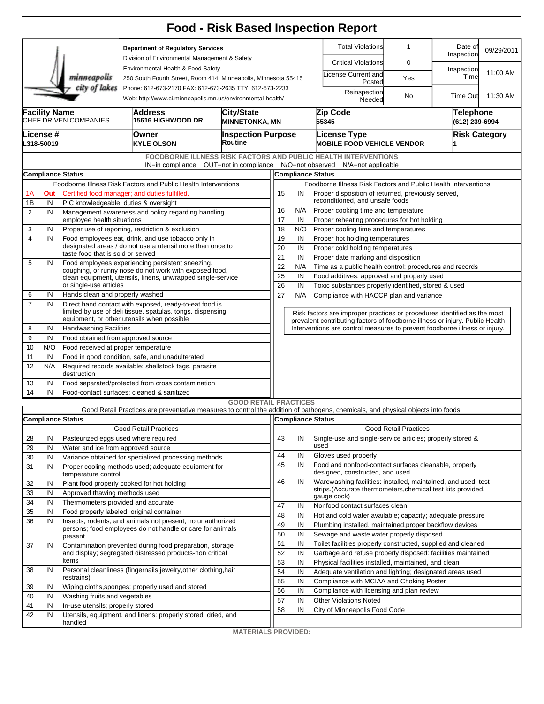|                                                                                                                                        |                                                                                      |                                                                                                                       |                                                                                                                                   | <b>Food - Risk Based Inspection Report</b>                                                                                                               |                                      |                                                                                                |                                                                                                                           |                                                                                                                                                           |                                                                            |                              |                       |            |  |  |  |
|----------------------------------------------------------------------------------------------------------------------------------------|--------------------------------------------------------------------------------------|-----------------------------------------------------------------------------------------------------------------------|-----------------------------------------------------------------------------------------------------------------------------------|----------------------------------------------------------------------------------------------------------------------------------------------------------|--------------------------------------|------------------------------------------------------------------------------------------------|---------------------------------------------------------------------------------------------------------------------------|-----------------------------------------------------------------------------------------------------------------------------------------------------------|----------------------------------------------------------------------------|------------------------------|-----------------------|------------|--|--|--|
|                                                                                                                                        | <b>Department of Regulatory Services</b>                                             |                                                                                                                       |                                                                                                                                   |                                                                                                                                                          |                                      |                                                                                                |                                                                                                                           |                                                                                                                                                           | <b>Total Violations</b>                                                    | $\mathbf{1}$                 | Date of<br>Inspection | 09/29/2011 |  |  |  |
|                                                                                                                                        |                                                                                      |                                                                                                                       | Division of Environmental Management & Safety<br>Environmental Health & Food Safety                                               |                                                                                                                                                          |                                      |                                                                                                |                                                                                                                           |                                                                                                                                                           | <b>Critical Violations</b>                                                 | 0                            |                       |            |  |  |  |
|                                                                                                                                        |                                                                                      | minneapolis                                                                                                           | 250 South Fourth Street, Room 414, Minneapolis, Minnesota 55415                                                                   |                                                                                                                                                          |                                      |                                                                                                |                                                                                                                           |                                                                                                                                                           | icense Current and<br>Posted                                               | Yes                          | Inspection<br>Time    | 11:00 AM   |  |  |  |
| city of lakes<br>Phone: 612-673-2170 FAX: 612-673-2635 TTY: 612-673-2233<br>Web: http://www.ci.minneapolis.mn.us/environmental-health/ |                                                                                      |                                                                                                                       |                                                                                                                                   |                                                                                                                                                          |                                      |                                                                                                |                                                                                                                           |                                                                                                                                                           | Reinspection<br>Needed                                                     | No                           | Time Out              | 11:30 AM   |  |  |  |
|                                                                                                                                        | <b>Facility Name</b><br>Address<br>CHEF DRIVEN COMPANIES<br><b>15616 HIGHWOOD DR</b> |                                                                                                                       |                                                                                                                                   |                                                                                                                                                          | City/State<br><b>MINNETONKA, MN</b>  |                                                                                                |                                                                                                                           |                                                                                                                                                           | Zip Code<br>Telephone<br>55345<br>(612) 239-6994                           |                              |                       |            |  |  |  |
| License #<br>L318-50019                                                                                                                |                                                                                      |                                                                                                                       | Owner<br><b>KYLE OLSON</b>                                                                                                        |                                                                                                                                                          | <b>Inspection Purpose</b><br>Routine |                                                                                                |                                                                                                                           | License Type<br><b>Risk Category</b><br><b>MOBILE FOOD VEHICLE VENDOR</b>                                                                                 |                                                                            |                              |                       |            |  |  |  |
|                                                                                                                                        |                                                                                      |                                                                                                                       |                                                                                                                                   |                                                                                                                                                          |                                      |                                                                                                |                                                                                                                           |                                                                                                                                                           | <b>FOODBORNE ILLNESS RISK FACTORS AND PUBLIC HEALTH INTERVENTIONS</b>      |                              |                       |            |  |  |  |
|                                                                                                                                        |                                                                                      |                                                                                                                       |                                                                                                                                   |                                                                                                                                                          |                                      |                                                                                                |                                                                                                                           |                                                                                                                                                           | IN=in compliance OUT=not in compliance N/O=not observed N/A=not applicable |                              |                       |            |  |  |  |
| <b>Compliance Status</b><br>Foodborne Illness Risk Factors and Public Health Interventions                                             |                                                                                      |                                                                                                                       |                                                                                                                                   |                                                                                                                                                          |                                      |                                                                                                |                                                                                                                           | <b>Compliance Status</b><br>Foodborne Illness Risk Factors and Public Health Interventions                                                                |                                                                            |                              |                       |            |  |  |  |
| Certified food manager; and duties fulfilled.<br>1Α<br>Out                                                                             |                                                                                      |                                                                                                                       |                                                                                                                                   |                                                                                                                                                          |                                      |                                                                                                | Proper disposition of returned, previously served,<br>IN                                                                  |                                                                                                                                                           |                                                                            |                              |                       |            |  |  |  |
| 1B                                                                                                                                     | IN<br>PIC knowledgeable, duties & oversight                                          |                                                                                                                       |                                                                                                                                   |                                                                                                                                                          |                                      | 15                                                                                             | reconditioned, and unsafe foods                                                                                           |                                                                                                                                                           |                                                                            |                              |                       |            |  |  |  |
| 2                                                                                                                                      | IN                                                                                   | Management awareness and policy regarding handling                                                                    |                                                                                                                                   | 16                                                                                                                                                       | N/A                                  | Proper cooking time and temperature                                                            |                                                                                                                           |                                                                                                                                                           |                                                                            |                              |                       |            |  |  |  |
|                                                                                                                                        |                                                                                      | employee health situations                                                                                            |                                                                                                                                   | 17                                                                                                                                                       | IN                                   | Proper reheating procedures for hot holding                                                    |                                                                                                                           |                                                                                                                                                           |                                                                            |                              |                       |            |  |  |  |
| 3                                                                                                                                      | IN                                                                                   |                                                                                                                       | Proper use of reporting, restriction & exclusion                                                                                  |                                                                                                                                                          |                                      | 18<br>19                                                                                       | N/O                                                                                                                       | Proper cooling time and temperatures                                                                                                                      |                                                                            |                              |                       |            |  |  |  |
| $\overline{4}$                                                                                                                         | IN                                                                                   | Food employees eat, drink, and use tobacco only in<br>designated areas / do not use a utensil more than once to       |                                                                                                                                   |                                                                                                                                                          |                                      |                                                                                                | IN                                                                                                                        | Proper hot holding temperatures                                                                                                                           |                                                                            |                              |                       |            |  |  |  |
|                                                                                                                                        |                                                                                      | taste food that is sold or served                                                                                     |                                                                                                                                   | 20<br>21                                                                                                                                                 | IN                                   | Proper cold holding temperatures                                                               |                                                                                                                           |                                                                                                                                                           |                                                                            |                              |                       |            |  |  |  |
| 5                                                                                                                                      | IN                                                                                   | Food employees experiencing persistent sneezing,                                                                      |                                                                                                                                   | 22                                                                                                                                                       | IN<br>N/A                            | Proper date marking and disposition<br>Time as a public health control: procedures and records |                                                                                                                           |                                                                                                                                                           |                                                                            |                              |                       |            |  |  |  |
|                                                                                                                                        |                                                                                      | coughing, or runny nose do not work with exposed food,<br>clean equipment, utensils, linens, unwrapped single-service |                                                                                                                                   | 25                                                                                                                                                       | IN                                   | Food additives; approved and properly used                                                     |                                                                                                                           |                                                                                                                                                           |                                                                            |                              |                       |            |  |  |  |
|                                                                                                                                        |                                                                                      | or single-use articles                                                                                                |                                                                                                                                   |                                                                                                                                                          |                                      | 26                                                                                             | IN                                                                                                                        | Toxic substances properly identified, stored & used                                                                                                       |                                                                            |                              |                       |            |  |  |  |
| 6                                                                                                                                      | IN                                                                                   | Hands clean and properly washed                                                                                       |                                                                                                                                   |                                                                                                                                                          |                                      | 27                                                                                             | N/A                                                                                                                       | Compliance with HACCP plan and variance                                                                                                                   |                                                                            |                              |                       |            |  |  |  |
| $\overline{7}$                                                                                                                         | IN                                                                                   | Direct hand contact with exposed, ready-to-eat food is<br>limited by use of deli tissue, spatulas, tongs, dispensing  |                                                                                                                                   | Risk factors are improper practices or procedures identified as the most<br>prevalent contributing factors of foodborne illness or injury. Public Health |                                      |                                                                                                |                                                                                                                           |                                                                                                                                                           |                                                                            |                              |                       |            |  |  |  |
| 8                                                                                                                                      | IN                                                                                   | equipment, or other utensils when possible<br><b>Handwashing Facilities</b>                                           |                                                                                                                                   |                                                                                                                                                          |                                      |                                                                                                | Interventions are control measures to prevent foodborne illness or injury.                                                |                                                                                                                                                           |                                                                            |                              |                       |            |  |  |  |
| 9                                                                                                                                      | IN                                                                                   | Food obtained from approved source                                                                                    |                                                                                                                                   |                                                                                                                                                          |                                      |                                                                                                |                                                                                                                           |                                                                                                                                                           |                                                                            |                              |                       |            |  |  |  |
| 10                                                                                                                                     | N/O                                                                                  | Food received at proper temperature                                                                                   |                                                                                                                                   |                                                                                                                                                          |                                      |                                                                                                |                                                                                                                           |                                                                                                                                                           |                                                                            |                              |                       |            |  |  |  |
| 11                                                                                                                                     | IN                                                                                   | Food in good condition, safe, and unadulterated                                                                       |                                                                                                                                   |                                                                                                                                                          |                                      |                                                                                                |                                                                                                                           |                                                                                                                                                           |                                                                            |                              |                       |            |  |  |  |
| 12                                                                                                                                     | N/A                                                                                  | Required records available; shellstock tags, parasite<br>destruction                                                  |                                                                                                                                   |                                                                                                                                                          |                                      |                                                                                                |                                                                                                                           |                                                                                                                                                           |                                                                            |                              |                       |            |  |  |  |
| 13                                                                                                                                     | IN                                                                                   |                                                                                                                       | Food separated/protected from cross contamination                                                                                 |                                                                                                                                                          |                                      |                                                                                                |                                                                                                                           |                                                                                                                                                           |                                                                            |                              |                       |            |  |  |  |
| 14                                                                                                                                     | IN                                                                                   |                                                                                                                       | Food-contact surfaces: cleaned & sanitized                                                                                        |                                                                                                                                                          |                                      |                                                                                                |                                                                                                                           |                                                                                                                                                           |                                                                            |                              |                       |            |  |  |  |
|                                                                                                                                        |                                                                                      |                                                                                                                       | Good Retail Practices are preventative measures to control the addition of pathogens, chemicals, and physical objects into foods. |                                                                                                                                                          | <b>GOOD RETAIL PRACTICES</b>         |                                                                                                |                                                                                                                           |                                                                                                                                                           |                                                                            |                              |                       |            |  |  |  |
|                                                                                                                                        |                                                                                      |                                                                                                                       |                                                                                                                                   |                                                                                                                                                          |                                      |                                                                                                | Compliance Status                                                                                                         |                                                                                                                                                           |                                                                            |                              |                       |            |  |  |  |
|                                                                                                                                        | <b>Compliance Status</b><br><b>Good Retail Practices</b>                             |                                                                                                                       |                                                                                                                                   |                                                                                                                                                          |                                      |                                                                                                |                                                                                                                           |                                                                                                                                                           |                                                                            | <b>Good Retail Practices</b> |                       |            |  |  |  |
| 28                                                                                                                                     | IN                                                                                   |                                                                                                                       | Pasteurized eggs used where required                                                                                              |                                                                                                                                                          |                                      | 43                                                                                             | IN                                                                                                                        |                                                                                                                                                           | Single-use and single-service articles; properly stored &                  |                              |                       |            |  |  |  |
| 29                                                                                                                                     | IN                                                                                   | Water and ice from approved source                                                                                    |                                                                                                                                   |                                                                                                                                                          |                                      |                                                                                                |                                                                                                                           | used                                                                                                                                                      |                                                                            |                              |                       |            |  |  |  |
| 30                                                                                                                                     | IN                                                                                   | Variance obtained for specialized processing methods                                                                  |                                                                                                                                   |                                                                                                                                                          |                                      | 44<br>45                                                                                       | IN                                                                                                                        |                                                                                                                                                           | Gloves used properly                                                       |                              |                       |            |  |  |  |
| 31                                                                                                                                     | IN                                                                                   | Proper cooling methods used; adequate equipment for<br>temperature control                                            |                                                                                                                                   |                                                                                                                                                          |                                      |                                                                                                | IN                                                                                                                        | Food and nonfood-contact surfaces cleanable, properly<br>designed, constructed, and used<br>Warewashing facilities: installed, maintained, and used; test |                                                                            |                              |                       |            |  |  |  |
| 32                                                                                                                                     | IN                                                                                   |                                                                                                                       | Plant food properly cooked for hot holding                                                                                        |                                                                                                                                                          |                                      | 46                                                                                             | IN                                                                                                                        |                                                                                                                                                           | strips. (Accurate thermometers, chemical test kits provided,               |                              |                       |            |  |  |  |
| 33                                                                                                                                     | IN                                                                                   | Approved thawing methods used                                                                                         |                                                                                                                                   |                                                                                                                                                          |                                      |                                                                                                | gauge cock)                                                                                                               |                                                                                                                                                           |                                                                            |                              |                       |            |  |  |  |
| 34                                                                                                                                     | IN                                                                                   | Thermometers provided and accurate                                                                                    |                                                                                                                                   | 47<br>48                                                                                                                                                 | IN                                   | Nonfood contact surfaces clean                                                                 |                                                                                                                           |                                                                                                                                                           |                                                                            |                              |                       |            |  |  |  |
| 35<br>IN<br>36<br>IN                                                                                                                   |                                                                                      |                                                                                                                       | Food properly labeled; original container<br>Insects, rodents, and animals not present; no unauthorized                           |                                                                                                                                                          |                                      |                                                                                                |                                                                                                                           |                                                                                                                                                           | Hot and cold water available; capacity; adequate pressure                  |                              |                       |            |  |  |  |
|                                                                                                                                        |                                                                                      |                                                                                                                       | persons; food employees do not handle or care for animals                                                                         |                                                                                                                                                          |                                      | 49                                                                                             | IN                                                                                                                        | Plumbing installed, maintained, proper backflow devices                                                                                                   |                                                                            |                              |                       |            |  |  |  |
|                                                                                                                                        |                                                                                      | present                                                                                                               |                                                                                                                                   |                                                                                                                                                          |                                      | 50                                                                                             | IN                                                                                                                        | Sewage and waste water properly disposed<br>Toilet facilities properly constructed, supplied and cleaned                                                  |                                                                            |                              |                       |            |  |  |  |
| 37                                                                                                                                     | IN                                                                                   |                                                                                                                       | Contamination prevented during food preparation, storage<br>and display; segregated distressed products-non critical              |                                                                                                                                                          |                                      | 51<br>52                                                                                       | IN                                                                                                                        |                                                                                                                                                           |                                                                            |                              |                       |            |  |  |  |
|                                                                                                                                        |                                                                                      | items                                                                                                                 |                                                                                                                                   |                                                                                                                                                          |                                      | 53                                                                                             | IN<br>Garbage and refuse properly disposed: facilities maintained<br>Physical facilities installed, maintained, and clean |                                                                                                                                                           |                                                                            |                              |                       |            |  |  |  |
| 38                                                                                                                                     | IN                                                                                   |                                                                                                                       |                                                                                                                                   | Personal cleanliness (fingernails,jewelry,other clothing,hair                                                                                            |                                      |                                                                                                | IN<br>IN                                                                                                                  |                                                                                                                                                           |                                                                            |                              |                       |            |  |  |  |
|                                                                                                                                        |                                                                                      | restrains)                                                                                                            |                                                                                                                                   |                                                                                                                                                          |                                      | 54<br>55                                                                                       | IN                                                                                                                        | Adequate ventilation and lighting; designated areas used<br>Compliance with MCIAA and Choking Poster                                                      |                                                                            |                              |                       |            |  |  |  |
| 39                                                                                                                                     | IN                                                                                   | Wiping cloths, sponges; properly used and stored                                                                      |                                                                                                                                   |                                                                                                                                                          |                                      | 56                                                                                             | IN                                                                                                                        | Compliance with licensing and plan review                                                                                                                 |                                                                            |                              |                       |            |  |  |  |
| 40                                                                                                                                     | IN                                                                                   | Washing fruits and vegetables                                                                                         |                                                                                                                                   |                                                                                                                                                          |                                      |                                                                                                | IN                                                                                                                        | <b>Other Violations Noted</b>                                                                                                                             |                                                                            |                              |                       |            |  |  |  |
| 41                                                                                                                                     | IN                                                                                   | In-use utensils; properly stored                                                                                      |                                                                                                                                   |                                                                                                                                                          |                                      | 57<br>58                                                                                       | IN                                                                                                                        |                                                                                                                                                           | City of Minneapolis Food Code                                              |                              |                       |            |  |  |  |
| 42                                                                                                                                     | IN                                                                                   | handled                                                                                                               | Utensils, equipment, and linens: properly stored, dried, and                                                                      |                                                                                                                                                          |                                      |                                                                                                |                                                                                                                           |                                                                                                                                                           |                                                                            |                              |                       |            |  |  |  |
|                                                                                                                                        |                                                                                      |                                                                                                                       |                                                                                                                                   |                                                                                                                                                          | <b>MATERIALS PROVIDED:</b>           |                                                                                                |                                                                                                                           |                                                                                                                                                           |                                                                            |                              |                       |            |  |  |  |